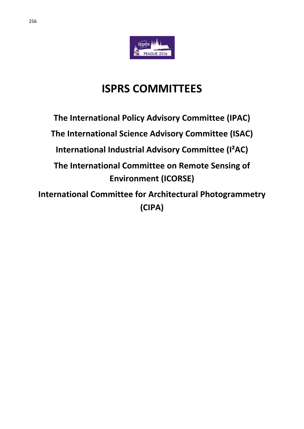

# **ISPRS COMMITTEES**

# **The International Policy Advisory Committee (IPAC) The International Science Advisory Committee (ISAC) International Industrial Advisory Committee (I²AC) The International Committee on Remote Sensing of Environment (ICORSE)**

**International Committee for Architectural Photogrammetry (CIPA)**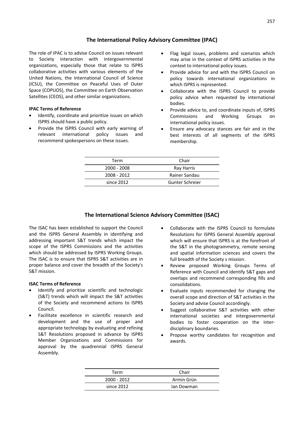## **The International Policy Advisory Committee (IPAC)**

The role of IPAC is to advise Council on issues relevant to Society interaction with intergovernmental organizations, especially those that relate to ISPRS collaborative activities with various elements of the United Nations, the International Council of Science (ICSU), the Committee on Peaceful Uses of Outer Space (COPUOS), the Committee on Earth Observation Satellites (CEOS), and other similar organizations.

#### **IPAC Terms of Reference**

- Identify, coordinate and prioritize issues on which ISPRS should have a public policy.
- Provide the ISPRS Council with early warning of relevant international policy issues and recommend spokespersons on these issues.
- Flag legal issues, problems and scenarios which may arise in the context of ISPRS activities in the context to international policy issues.
- Provide advice for and with the ISPRS Council on policy towards international organizations in which ISPRS is represented.
- Collaborate with the ISPRS Council to provide policy advice when requested by international bodies.
- Provide advice to, and coordinate inputs of, ISPRS Commissions and Working Groups on international policy issues.
- Ensure any advocacy stances are fair and in the best interests of all segments of the ISPRS membership.

| Chair           |
|-----------------|
| Ray Harris      |
| Rainer Sandau   |
| Gunter Schreier |
|                 |

## **The International Science Advisory Committee (ISAC)**

The ISAC has been established to support the Council and the ISPRS General Assembly in identifying and addressing important S&T trends which impact the scope of the ISPRS Commissions and the activities which should be addressed by ISPRS Working Groups. The ISAC is to ensure that ISPRS S&T activities are in proper balance and cover the breadth of the Society's S&T mission.

#### **ISAC Terms of Reference**

- Identify and prioritize scientific and technologic (S&T) trends which will impact the S&T activities of the Society and recommend actions to ISPRS Council.
- Facilitate excellence in scientific research and development and the use of proper and appropriate technology by evaluating and refining S&T Resolutions proposed in advance by ISPRS Member Organizations and Commissions for approval by the quadrennial ISPRS General Assembly.
- Collaborate with the ISPRS Council to formulate Resolutions for ISPRS General Assembly approval which will ensure that ISPRS is at the forefront of the S&T in the photogrammetry, remote sensing and spatial information sciences and covers the full breadth of the Society s mission.
- Review proposed Working Groups Terms of Reference with Council and identify S&T gaps and overlaps and recommend corresponding fills and consolidations.
- Evaluate inputs recommended for changing the overall scope and direction of S&T activities in the Society and advise Council accordingly.
- Suggest collaborative S&T activities with other international societies and intergovernmental bodies to foster cooperation on the interdisciplinary boundaries.
- Propose worthy candidates for recognition and awards.

| Term        | Chair      |
|-------------|------------|
| 2000 - 2012 | Armin Grün |
| since 2012  | lan Dowman |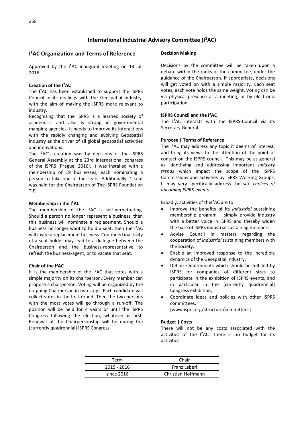# **I²AC Organization and Terms of Reference**

Approved by the I²AC inaugural meeting on 13-Jul-2016

#### **Creation of the I²AC**

The I²AC has been established to support the ISPRS Council in its dealings with the Geospatial industry, with the aim of making the ISPRS more relevant to industry.

Recognizing that the ISPRS is a learned society of academics, and also is strong in governmental mapping agencies, it needs to improve its interactions with the rapidly changing and evolving Geospatial industry as the driver of all global geospatial activities and innovations.

The I²AC's creation was by decisions of the ISPRS General Assembly at the 23rd international congress of the ISPRS [Prague, 2016]. It was installed with a membership of 19 businesses, each nominating a person to take one of the seats. Additionally, 1 seat was held for the Chairperson of The ISPRS Foundation TIF.

#### **Membership in the I²AC**

The membership of the I<sup>2</sup>AC is self-perpetuating. Should a person no longer represent a business, then this business will nominate a replacement. Should a business no longer want to hold a seat, then the I²AC will invite a replacement business. Continued inactivity of a seat holder may lead to a dialogue between the Chairperson and the business-representative to refresh the business-agent, or to vacate that seat.

#### **Chair of the I²AC**

It is the membership of the I²AC that votes with a simple majority on its chairperson. Every member can propose a chairperson. Voting will be organized by the outgoing Chairperson in two steps. Each candidate will collect votes in the first round. Then the two persons with the most votes will go through a run-off. The position will be held for 4 years or until the ISPRS Congress following the election, whatever is first. Renewal of the Chairpersonship will be during the [currently quadrennial] ISPRS Congress.

#### **Decision Making**

Decisions by the committee will be taken upon a debate within the ranks of the committee, under the guidance of the Chairperson. If appropriate, decisions will get voted on with a simple majority. Each seat votes, each vote holds the same weight. Voting can be via physical presence at a meeting, or by electronic participation.

#### **ISPRS Council and the I²AC**

The I²AC interacts with the ISPRS-Council via its Secretary General.

#### **Purpose | Terms of Reference**

The I<sup>2</sup>AC may address any topic it deems of interest, and bring its views to the attention of the point of contact on the ISPRS council. This may be as general as identifying and addressing important *industry trends* which impact the scope of the ISPRS Commissions and activities by ISPRS Working Groups. It may very specifically address the *site choices of upcoming ISPRS-events*.

Broadly, activities of theI²AC are to

- Improve the benefits of its *industrial* sustaining membership program – simply provide industry with a better voice in ISPRS and thereby widen the base of ISPRS industrial sustaining members;
- Advise Council in matters regarding the cooperation of *industrial* sustaining members with the society;
- Enable an improved response to the incredible dynamics of the Geospatial industry;
- Define requirements which should be fulfilled by ISPRS for companies of different sizes to participate in the exhibition of ISPRS events, and in particular in the [currently quadrennial] Congress exhibition;
- Coordinate ideas and policies with other ISPRS committees.

[www.isprs.org/structure/committees]

#### **Budget | Costs**

There will not be any costs associated with the activities of the  $1<sup>2</sup>AC$ . There is no budget for its activities.

| Chair              |
|--------------------|
| Franz Leberl       |
| Christian Hoffmann |
|                    |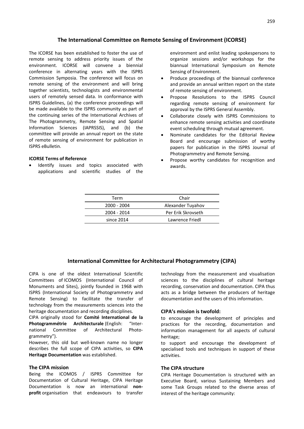#### **The International Committee on Remote Sensing of Environment (ICORSE)**

The ICORSE has been established to foster the use of remote sensing to address priority issues of the environment. ICORSE will convene a biennial conference in alternating years with the ISPRS Commission Symposia. The conference will focus on remote sensing of the environment and will bring together scientists, technologists and environmental users of remotely sensed data. In conformance with ISPRS Guidelines, (a) the conference proceedings will be made available to the ISPRS community as part of the continuing series of the International Archives of The Photogrammetry, Remote Sensing and Spatial Information Sciences (IAPRSSIS), and (b) the committee will provide an annual report on the state of remote sensing of environment for publication in ISPRS eBulletin.

#### **ICORSE Terms of Reference**

Identify issues and topics associated with applications and scientific studies of the environment and enlist leading spokespersons to organize sessions and/or workshops for the biannual International Symposium on Remote Sensing of Environment.

- Produce proceedings of the biannual conference and provide an annual written report on the state of remote sensing of environment.
- Propose Resolutions to the ISPRS Council regarding remote sensing of environment for approval by the ISPRS General Assembly.
- Collaborate closely with ISPRS Commissions to enhance remote sensing activities and coordinate event scheduling through mutual agreement.
- Nominate candidates for the Editorial Review Board and encourage submission of worthy papers for publication in the ISPRS Journal of Photogrammetry and Remote Sensing.
- Propose worthy candidates for recognition and awards.

| Term        | Chair              |
|-------------|--------------------|
| 2000 - 2004 | Alexander Tuyahov  |
| 2004 - 2014 | Per Erik Skrovseth |
| since 2014  | Lawrence Friedl    |

#### **International Committee for Architectural Photogrammetry (CIPA)**

CIPA is one of the oldest International Scientific Committees of ICOMOS (International Council of Monuments and Sites), jointly founded in 1968 with ISPRS (International Society of Photogrammetry and Remote Sensing) to facilitate the transfer of technology from the measurements sciences into the heritage documentation and recording disciplines.

CIPA originally stood for **Comité International de la**  Photogrammétrie Architecturale (English: "International Committee of Architectural Photogrammetry").

However, this old but well-known name no longer describes the full scope of CIPA activities, so **CIPA Heritage Documentation** was established.

#### **The CIPA mission**

Being the ICOMOS / ISPRS Committee for Documentation of Cultural Heritage, CIPA Heritage Documentation is now an international **nonprofit** organisation that endeavours to transfer technology from the measurement and visualisation sciences to the disciplines of cultural heritage recording, conservation and documentation. CIPA thus acts as a bridge between the producers of heritage documentation and the users of this information.

#### **CIPA's mission is twofold:**

to encourage the development of principles and practices for the recording, documentation and information management for all aspects of cultural heritage;

to support and encourage the development of specialised tools and techniques in support of these activities.

#### **The CIPA structure**

CIPA Heritage Documentation is structured with an Executive Board, various Sustaining Members and some Task Groups related to the diverse areas of interest of the heritage community: